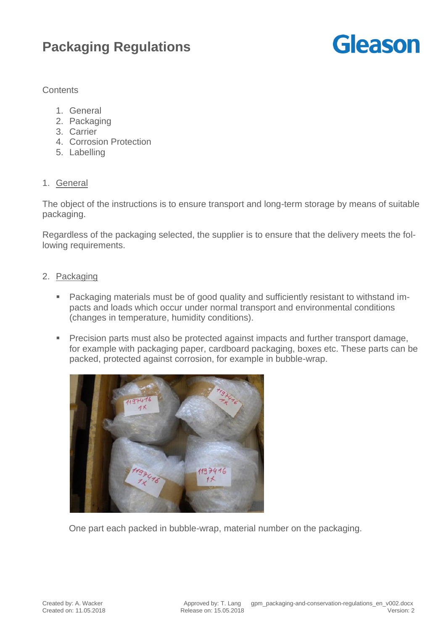# **Packaging Regulations**

# **Gleason**

# **Contents**

- 1. General
- 2. Packaging
- 3. Carrier
- 4. Corrosion Protection
- 5. Labelling

# 1. General

The object of the instructions is to ensure transport and long-term storage by means of suitable packaging.

Regardless of the packaging selected, the supplier is to ensure that the delivery meets the following requirements.

# 2. Packaging

- Packaging materials must be of good quality and sufficiently resistant to withstand impacts and loads which occur under normal transport and environmental conditions (changes in temperature, humidity conditions).
- **Precision parts must also be protected against impacts and further transport damage,** for example with packaging paper, cardboard packaging, boxes etc. These parts can be packed, protected against corrosion, for example in bubble-wrap.



One part each packed in bubble-wrap, material number on the packaging.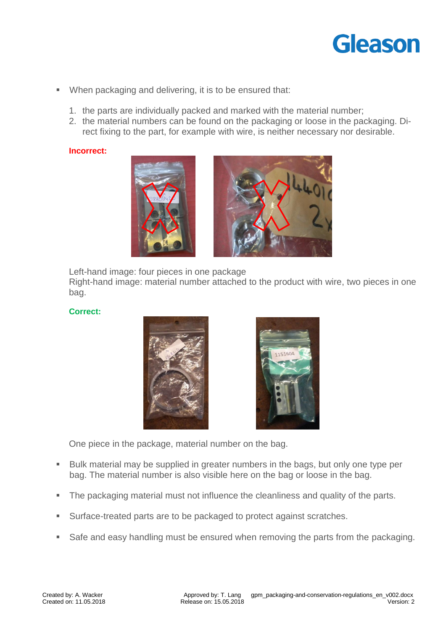# Gleason

- When packaging and delivering, it is to be ensured that:
	- 1. the parts are individually packed and marked with the material number;
	- 2. the material numbers can be found on the packaging or loose in the packaging. Direct fixing to the part, for example with wire, is neither necessary nor desirable.

#### **Incorrect:**



Left-hand image: four pieces in one package

Right-hand image: material number attached to the product with wire, two pieces in one bag.

#### **Correct:**





One piece in the package, material number on the bag.

- Bulk material may be supplied in greater numbers in the bags, but only one type per bag. The material number is also visible here on the bag or loose in the bag.
- The packaging material must not influence the cleanliness and quality of the parts.
- **Surface-treated parts are to be packaged to protect against scratches.**
- Safe and easy handling must be ensured when removing the parts from the packaging.